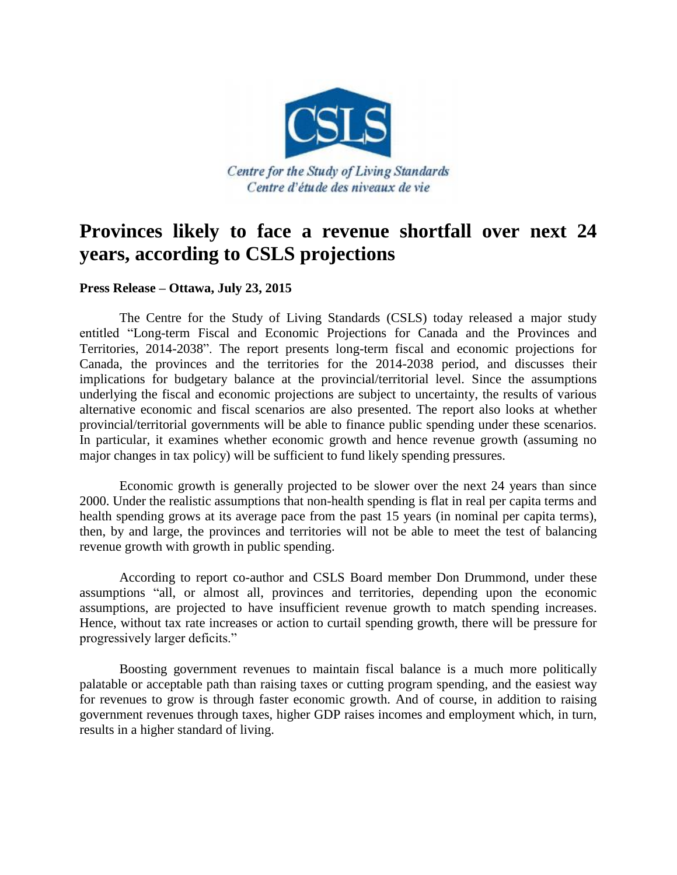

## **Provinces likely to face a revenue shortfall over next 24 years, according to CSLS projections**

## **Press Release – Ottawa, July 23, 2015**

The Centre for the Study of Living Standards (CSLS) today released a major study entitled "Long-term Fiscal and Economic Projections for Canada and the Provinces and Territories, 2014-2038". The report presents long-term fiscal and economic projections for Canada, the provinces and the territories for the 2014-2038 period, and discusses their implications for budgetary balance at the provincial/territorial level. Since the assumptions underlying the fiscal and economic projections are subject to uncertainty, the results of various alternative economic and fiscal scenarios are also presented. The report also looks at whether provincial/territorial governments will be able to finance public spending under these scenarios. In particular, it examines whether economic growth and hence revenue growth (assuming no major changes in tax policy) will be sufficient to fund likely spending pressures.

Economic growth is generally projected to be slower over the next 24 years than since 2000. Under the realistic assumptions that non-health spending is flat in real per capita terms and health spending grows at its average pace from the past 15 years (in nominal per capita terms), then, by and large, the provinces and territories will not be able to meet the test of balancing revenue growth with growth in public spending.

According to report co-author and CSLS Board member Don Drummond, under these assumptions "all, or almost all, provinces and territories, depending upon the economic assumptions, are projected to have insufficient revenue growth to match spending increases. Hence, without tax rate increases or action to curtail spending growth, there will be pressure for progressively larger deficits."

Boosting government revenues to maintain fiscal balance is a much more politically palatable or acceptable path than raising taxes or cutting program spending, and the easiest way for revenues to grow is through faster economic growth. And of course, in addition to raising government revenues through taxes, higher GDP raises incomes and employment which, in turn, results in a higher standard of living.